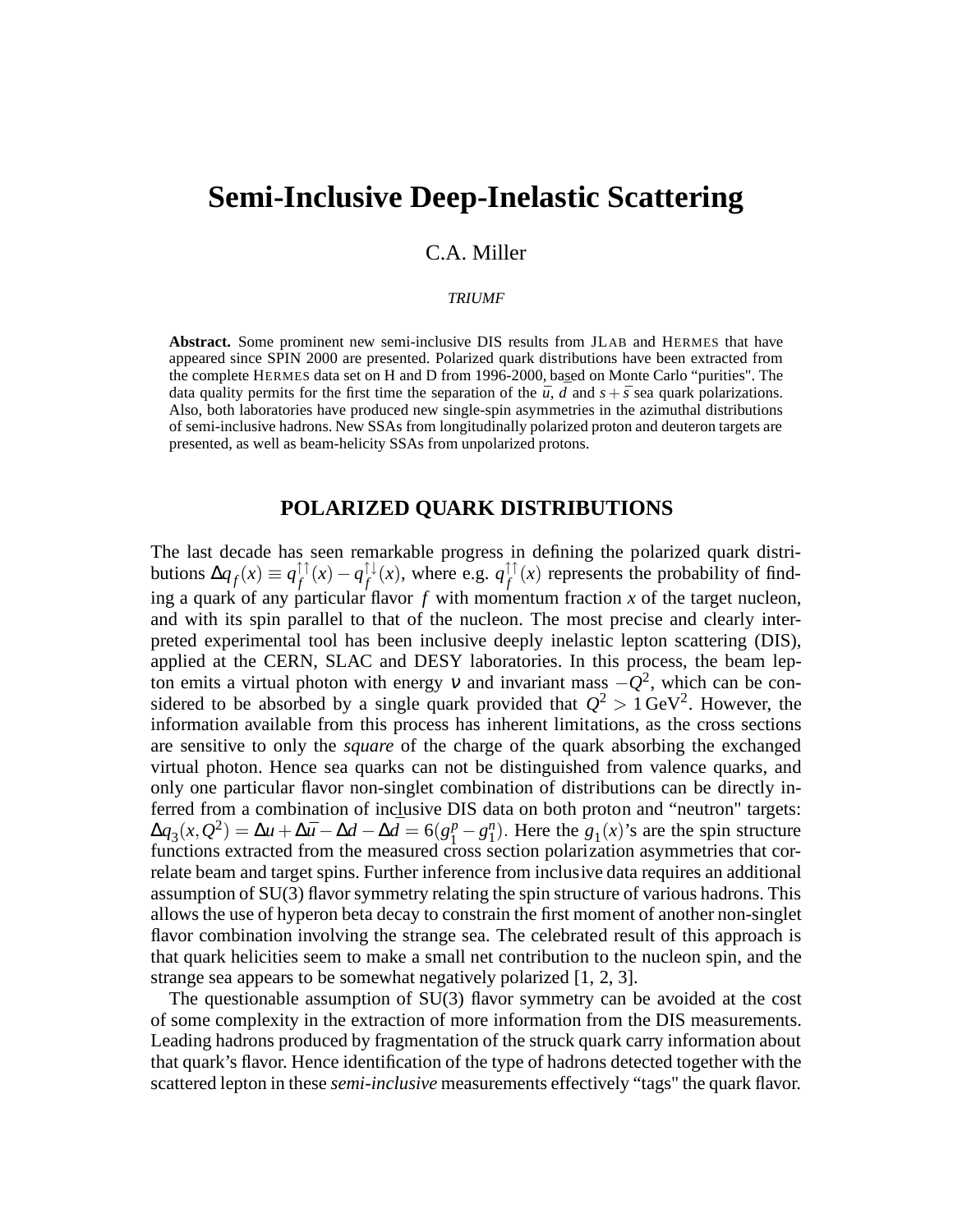# **Semi-Inclusive Deep-Inelastic Scattering**

# C.A. Miller

#### *TRIUMF*

**Abstract.** Some prominent new semi-inclusive DIS results from JLAB and HERMES that have appeared since SPIN 2000 are presented. Polarized quark distributions have been extracted from the complete HERMES data set on H and D from 1996-2000, based on Monte Carlo "purities". The data quality permits for the first time the separation of the  $\bar{u}$ , *d* and  $s + \bar{s}$  sea quark polarizations. Also, both laboratories have produced new single-spin asymmetries in the azimuthal distributions of semi-inclusive hadrons. New SSAs from longitudinally polarized proton and deuteron targets are presented, as well as beam-helicity SSAs from unpolarized protons.

# **POLARIZED QUARK DISTRIBUTIONS**

The last decade has seen remarkable progress in defining the polarized quark distributions  $\Delta q_f(x) \equiv q_f^{\uparrow \uparrow}$  $f^{\uparrow\uparrow}(x)-q^{\uparrow\downarrow}_f$  $f_f^{\downarrow}(x)$ , where e.g.  $q_f^{\uparrow\uparrow}$  $f_f^{\uparrow\uparrow}(x)$  represents the probability of finding a quark of any particular flavor *f* with momentum fraction *x* of the target nucleon, and with its spin parallel to that of the nucleon. The most precise and clearly interpreted experimental tool has been inclusive deeply inelastic lepton scattering (DIS), applied at the CERN, SLAC and DESY laboratories. In this process, the beam lepton emits a virtual photon with energy v and invariant mass  $-Q^2$ , which can be considered to be absorbed by a single quark provided that  $Q^2 > 1 \text{ GeV}^2$ . However, the information available from this process has inherent limitations, as the cross sections are sensitive to only the *square* of the charge of the quark absorbing the exchanged virtual photon. Hence sea quarks can not be distinguished from valence quarks, and only one particular flavor non-singlet combination of distributions can be directly inferred from a combination of inclusive DIS data on both proton and "neutron" targets:  $\Delta q_3(x,Q^2) = \Delta u + \Delta \bar{u} - \Delta d - \Delta \bar{d} = 6(g_1^p)$  $\binom{p}{1} - g_1^n$ . Here the  $g_1(x)$ 's are the spin structure functions extracted from the measured cross section polarization asymmetries that correlate beam and target spins. Further inference from inclusive data requires an additional assumption of SU(3) flavor symmetry relating the spin structure of various hadrons. This allows the use of hyperon beta decay to constrain the first moment of another non-singlet flavor combination involving the strange sea. The celebrated result of this approach is that quark helicities seem to make a small net contribution to the nucleon spin, and the strange sea appears to be somewhat negatively polarized [1, 2, 3].

The questionable assumption of SU(3) flavor symmetry can be avoided at the cost of some complexity in the extraction of more information from the DIS measurements. Leading hadrons produced by fragmentation of the struck quark carry information about that quark's flavor. Hence identification of the type of hadrons detected together with the scattered lepton in these *semi-inclusive* measurements effectively "tags" the quark flavor.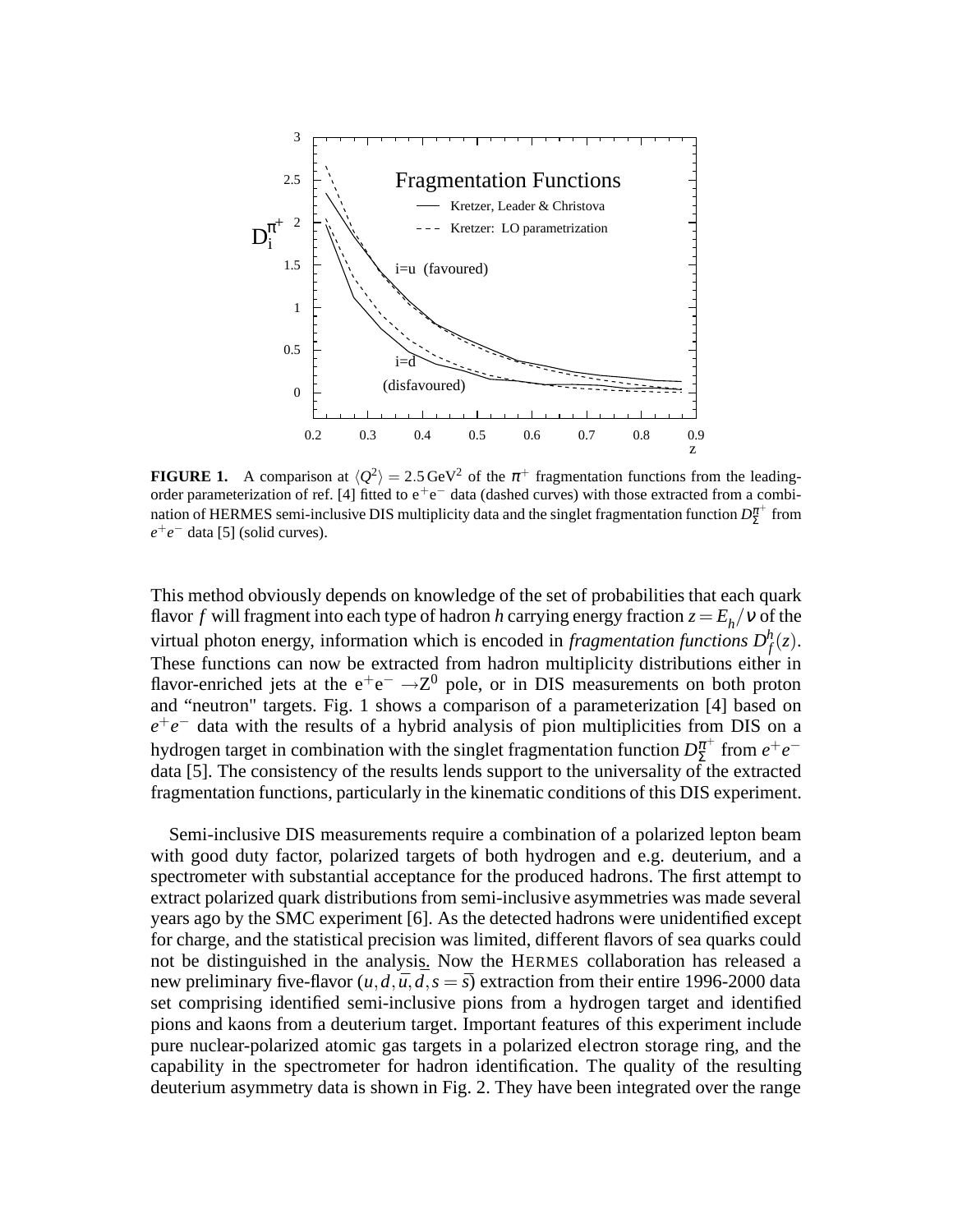

**FIGURE 1.** A comparison at  $\langle Q^2 \rangle = 2.5 \text{ GeV}^2$  of the  $\pi^+$  fragmentation functions from the leadingorder parameterization of ref. [4] fitted to  $e^+e^-$  data (dashed curves) with those extracted from a combination of HERMES semi-inclusive DIS multiplicity data and the singlet fragmentation function  $D_{\Sigma}^{\pi^+}$  $_{\Sigma}^{\pi^+}$  from *e* +*e* <sup>−</sup> data [5] (solid curves).

This method obviously depends on knowledge of the set of probabilities that each quark flavor  $f$  will fragment into each type of hadron  $h$  carrying energy fraction  $z = E_h / v$  of the virtual photon energy, information which is encoded in *fragmentation functions*  $D_f^h(z)$ . These functions can now be extracted from hadron multiplicity distributions either in flavor-enriched jets at the  $e^+e^- \rightarrow Z^0$  pole, or in DIS measurements on both proton and "neutron" targets. Fig. 1 shows a comparison of a parameterization [4] based on  $e^+e^-$  data with the results of a hybrid analysis of pion multiplicities from DIS on a hydrogen target in combination with the singlet fragmentation function  $D_{\Sigma}^{\pi^+}$  $\sum_{n=1}^{\pi^+}$  from  $e^+e^$ data [5]. The consistency of the results lends support to the universality of the extracted fragmentation functions, particularly in the kinematic conditions of this DIS experiment.

Semi-inclusive DIS measurements require a combination of a polarized lepton beam with good duty factor, polarized targets of both hydrogen and e.g. deuterium, and a spectrometer with substantial acceptance for the produced hadrons. The first attempt to extract polarized quark distributions from semi-inclusive asymmetries was made several years ago by the SMC experiment [6]. As the detected hadrons were unidentified except for charge, and the statistical precision was limited, different flavors of sea quarks could not be distinguished in the analysis. Now the HERMES collaboration has released a new preliminary five-flavor  $(u, d, \bar{u}, d, s = \bar{s})$  extraction from their entire 1996-2000 data set comprising identified semi-inclusive pions from a hydrogen target and identified pions and kaons from a deuterium target. Important features of this experiment include pure nuclear-polarized atomic gas targets in a polarized electron storage ring, and the capability in the spectrometer for hadron identification. The quality of the resulting deuterium asymmetry data is shown in Fig. 2. They have been integrated over the range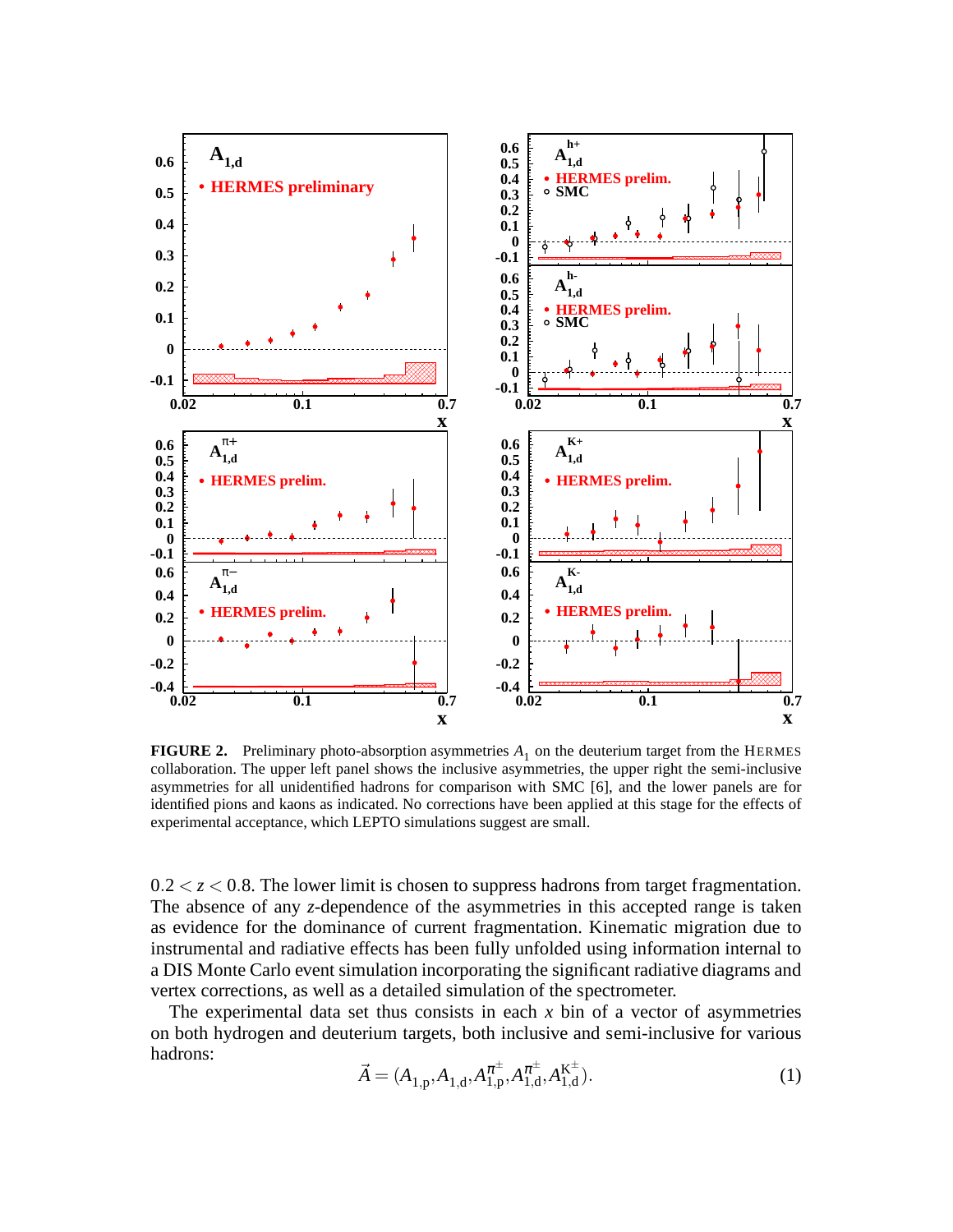

**FIGURE 2.** Preliminary photo-absorption asymmetries  $A_1$  on the deuterium target from the HERMES collaboration. The upper left panel shows the inclusive asymmetries, the upper right the semi-inclusive asymmetries for all unidentified hadrons for comparison with SMC [6], and the lower panels are for identified pions and kaons as indicated. No corrections have been applied at this stage for the effects of experimental acceptance, which LEPTO simulations suggest are small.

 $0.2 < z < 0.8$ . The lower limit is chosen to suppress hadrons from target fragmentation. The absence of any *z*-dependence of the asymmetries in this accepted range is taken as evidence for the dominance of current fragmentation. Kinematic migration due to instrumental and radiative effects has been fully unfolded using information internal to a DIS Monte Carlo event simulation incorporating the significant radiative diagrams and vertex corrections, as well as a detailed simulation of the spectrometer.

The experimental data set thus consists in each *x* bin of a vector of asymmetries on both hydrogen and deuterium targets, both inclusive and semi-inclusive for various hadrons:

$$
\vec{A} = (A_{1,p}, A_{1,d}, A_{1,p}^{\pi^{\pm}}, A_{1,d}^{\pi^{\pm}}, A_{1,d}^{\mathbf{K}^{\pm}}).
$$
\n(1)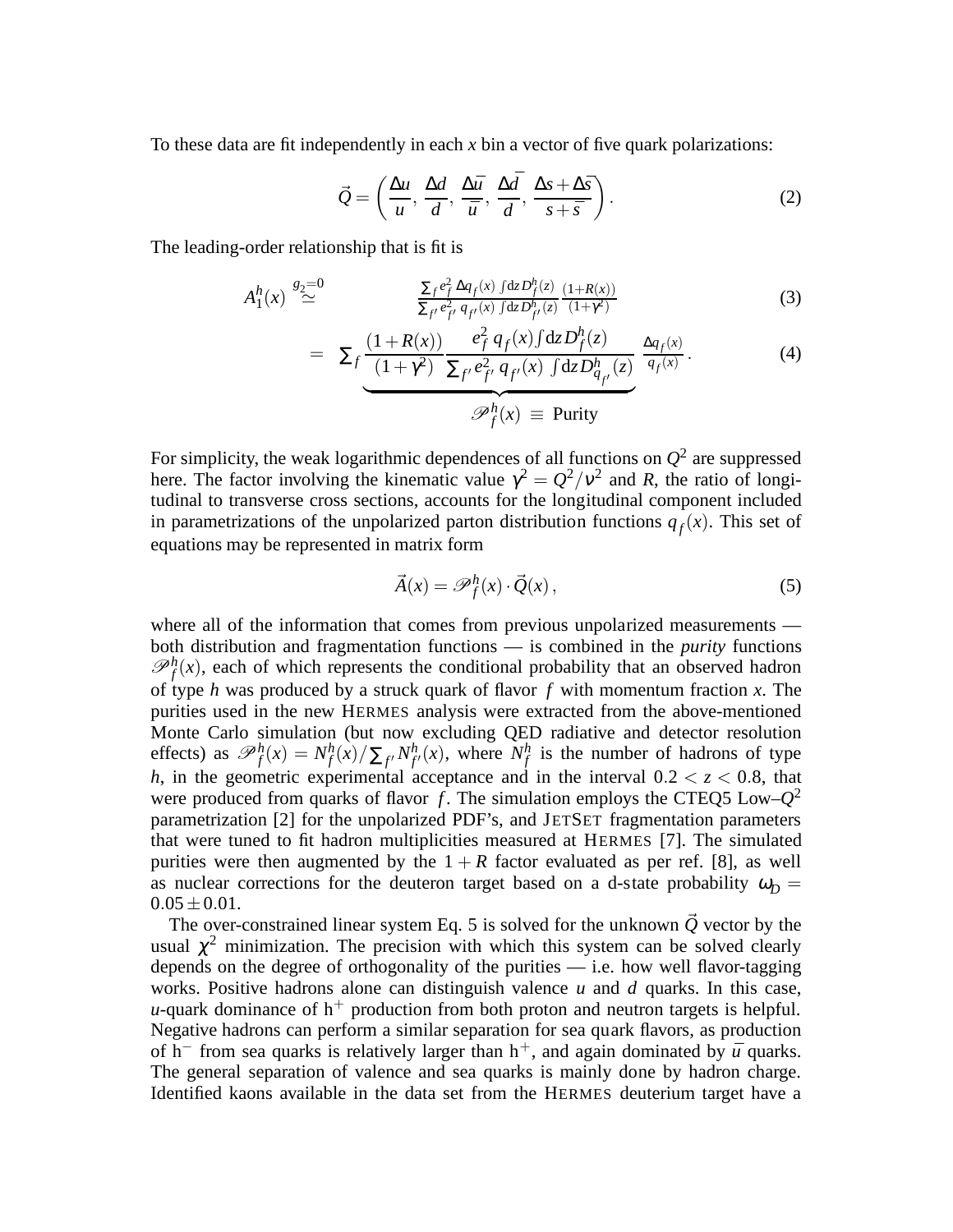To these data are fit independently in each *x* bin a vector of five quark polarizations:

$$
\vec{Q} = \left(\frac{\Delta u}{u}, \frac{\Delta d}{d}, \frac{\Delta \bar{u}}{\bar{u}}, \frac{\Delta \bar{d}}{\bar{d}}, \frac{\Delta s + \Delta \bar{s}}{s + \bar{s}}\right). \tag{2}
$$

The leading-order relationship that is fit is

$$
A_1^h(x) \stackrel{g_2=0}{\simeq} \frac{\sum_f e_f^2 \Delta q_f(x) \int dz D_f^h(z)}{\sum_{f'} e_{f'}^2 q_{f'}(x) \int dz D_{f'}^h(z)} \frac{(1+R(x))}{(1+r^2)}
$$
(3)

$$
= \sum_{f} \underbrace{\frac{(1+R(x))}{(1+\gamma^2)} \frac{e_f^2 q_f(x) \int dz D_f^h(z)}{\sum_{f'} e_{f'}^2 q_{f'}(x) \int dz D_{q_{f'}}^h(z)} \frac{\Delta q_f(x)}{q_f(x)}}_{\mathscr{P}_f^h(x)}.
$$
\n(4)

For simplicity, the weak logarithmic dependences of all functions on  $Q^2$  are suppressed here. The factor involving the kinematic value  $\gamma^2 = Q^2/v^2$  and *R*, the ratio of longitudinal to transverse cross sections, accounts for the longitudinal component included in parametrizations of the unpolarized parton distribution functions  $q_f(x)$ . This set of equations may be represented in matrix form

$$
\vec{A}(x) = \mathscr{P}_f^h(x) \cdot \vec{Q}(x),\tag{5}
$$

where all of the information that comes from previous unpolarized measurements both distribution and fragmentation functions — is combined in the *purity* functions  $\mathcal{P}_f^h(x)$ , each of which represents the conditional probability that an observed hadron of type *h* was produced by a struck quark of flavor *f* with momentum fraction *x*. The purities used in the new HERMES analysis were extracted from the above-mentioned Monte Carlo simulation (but now excluding QED radiative and detector resolution effects) as  $\mathscr{P}_f^h(x) = N_f^h$  $f_f^h(x)/\sum_{f'} N_f^h$  $f'(x)$ , where  $N_f^h$  $f \rightarrow f$  is the number of hadrons of type *h*, in the geometric experimental acceptance and in the interval  $0.2 < z < 0.8$ , that were produced from quarks of flavor  $\hat{f}$ . The simulation employs the CTEQ5 Low– $Q^2$ parametrization [2] for the unpolarized PDF's, and JETSET fragmentation parameters that were tuned to fit hadron multiplicities measured at HERMES [7]. The simulated purities were then augmented by the  $1 + R$  factor evaluated as per ref. [8], as well as nuclear corrections for the deuteron target based on a d-state probability  $\omega_D =$  $0.05 \pm 0.01$ .

The over-constrained linear system Eq. 5 is solved for the unknown  $\vec{Q}$  vector by the usual  $\chi^2$  minimization. The precision with which this system can be solved clearly depends on the degree of orthogonality of the purities — i.e. how well flavor-tagging works. Positive hadrons alone can distinguish valence *u* and *d* quarks. In this case, *u*-quark dominance of  $h^+$  production from both proton and neutron targets is helpful. Negative hadrons can perform a similar separation for sea quark flavors, as production of h<sup>−</sup> from sea quarks is relatively larger than h<sup>+</sup>, and again dominated by  $\bar{u}$  quarks. The general separation of valence and sea quarks is mainly done by hadron charge. Identified kaons available in the data set from the HERMES deuterium target have a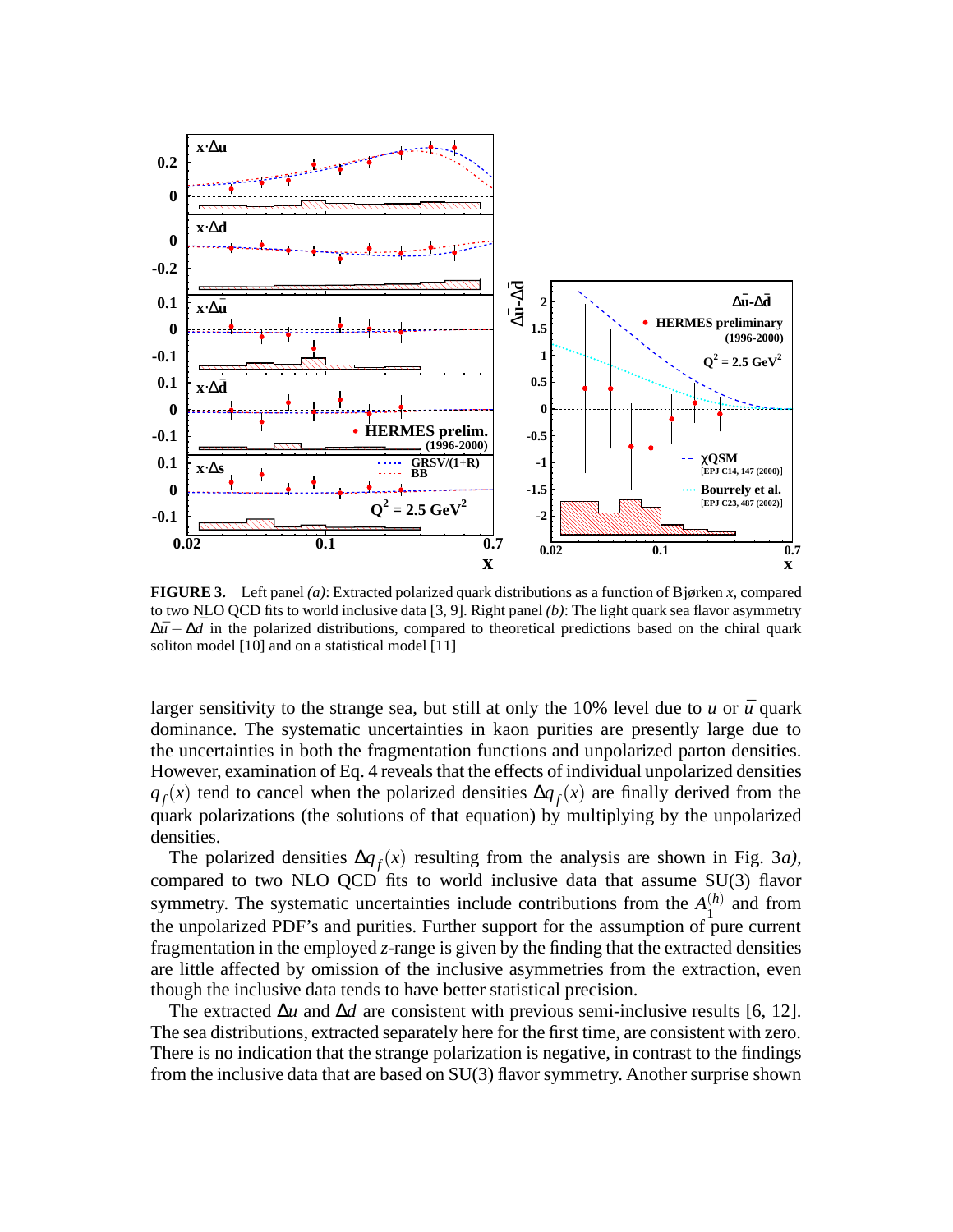

**FIGURE 3.** Left panel *(a)*: Extracted polarized quark distributions as a function of Bjørken *x*, compared to two NLO QCD fits to world inclusive data [3, 9]. Right panel *(b)*: The light quark sea flavor asymmetry  $\Delta \bar{u} - \Delta \bar{d}$  in the polarized distributions, compared to theoretical predictions based on the chiral quark soliton model [10] and on a statistical model [11]

larger sensitivity to the strange sea, but still at only the 10% level due to  $u$  or  $\bar{u}$  quark dominance. The systematic uncertainties in kaon purities are presently large due to the uncertainties in both the fragmentation functions and unpolarized parton densities. However, examination of Eq. 4 reveals that the effects of individual unpolarized densities  $q_f(x)$  tend to cancel when the polarized densities  $\Delta q_f(x)$  are finally derived from the quark polarizations (the solutions of that equation) by multiplying by the unpolarized densities.

The polarized densities  $\Delta q_f(x)$  resulting from the analysis are shown in Fig. 3*a*), compared to two NLO QCD fits to world inclusive data that assume SU(3) flavor symmetry. The systematic uncertainties include contributions from the  $A_1^{(h)}$  $_1^{(h)}$  and from the unpolarized PDF's and purities. Further support for the assumption of pure current fragmentation in the employed *z*-range is given by the finding that the extracted densities are little affected by omission of the inclusive asymmetries from the extraction, even though the inclusive data tends to have better statistical precision.

The extracted ∆*u* and ∆*d* are consistent with previous semi-inclusive results [6, 12]. The sea distributions, extracted separately here for the first time, are consistent with zero. There is no indication that the strange polarization is negative, in contrast to the findings from the inclusive data that are based on SU(3) flavor symmetry. Another surprise shown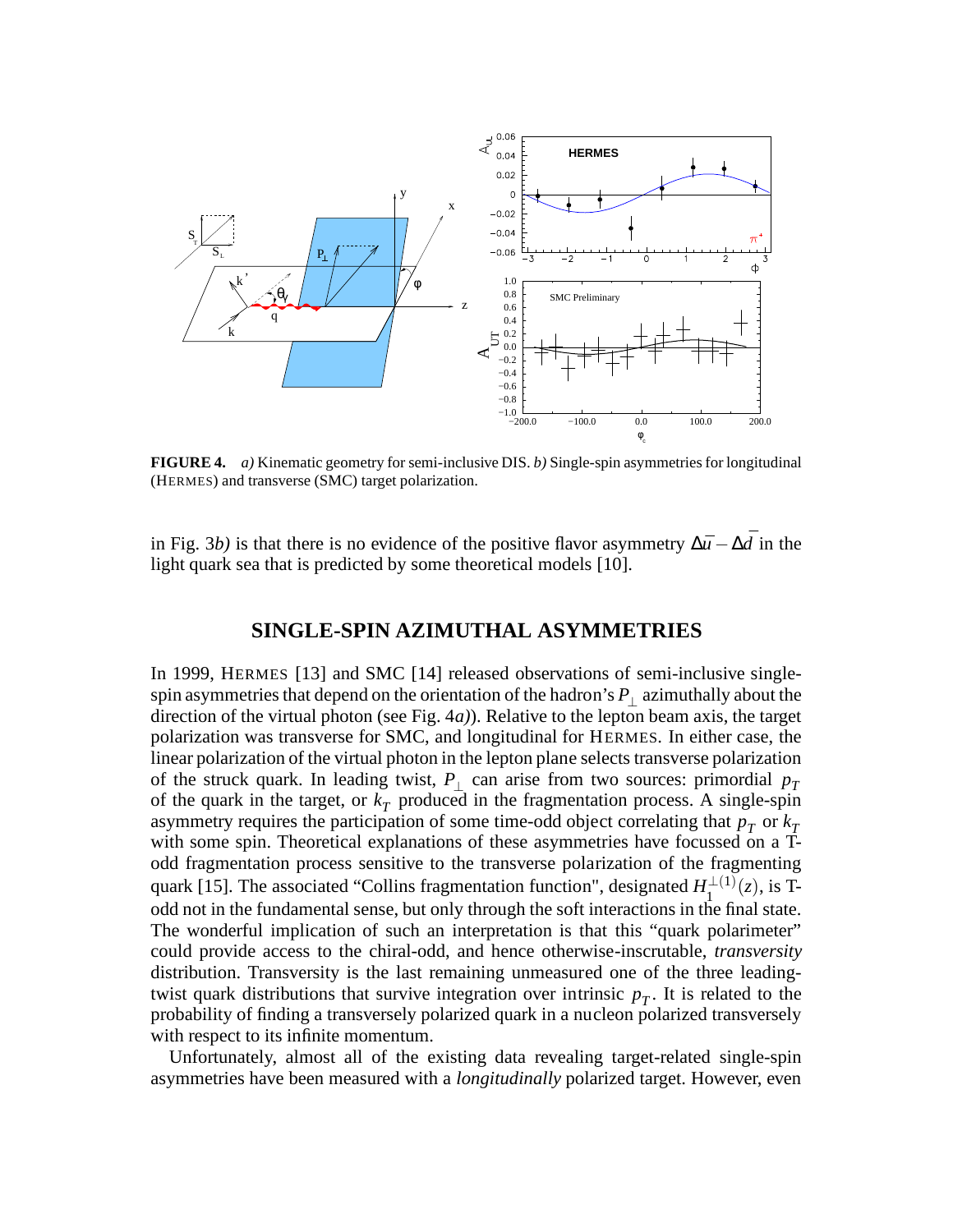

**FIGURE 4.** *a)* Kinematic geometry for semi-inclusive DIS. *b)* Single-spin asymmetries for longitudinal (HERMES) and transverse (SMC) target polarization.

in Fig. 3*b*) is that there is no evidence of the positive flavor asymmetry  $\Delta \bar{u} - \Delta \bar{d}$  in the light quark sea that is predicted by some theoretical models [10].

# **SINGLE-SPIN AZIMUTHAL ASYMMETRIES**

In 1999, HERMES [13] and SMC [14] released observations of semi-inclusive singlespin asymmetries that depend on the orientation of the hadron's  $P_{\perp}$  azimuthally about the direction of the virtual photon (see Fig. 4*a)*). Relative to the lepton beam axis, the target polarization was transverse for SMC, and longitudinal for HERMES. In either case, the linear polarization of the virtual photon in the lepton plane selects transverse polarization of the struck quark. In leading twist,  $P_{\perp}$  can arise from two sources: primordial  $p_T$ of the quark in the target, or  $k<sub>T</sub>$  produced in the fragmentation process. A single-spin asymmetry requires the participation of some time-odd object correlating that  $p<sub>T</sub>$  or  $k<sub>T</sub>$ with some spin. Theoretical explanations of these asymmetries have focussed on a Todd fragmentation process sensitive to the transverse polarization of the fragmenting quark [15]. The associated "Collins fragmentation function", designated  $H_1^{\perp(1)}$  $\frac{1}{1}^{(1)}(z)$ , is Todd not in the fundamental sense, but only through the soft interactions in the final state. The wonderful implication of such an interpretation is that this "quark polarimeter" could provide access to the chiral-odd, and hence otherwise-inscrutable, *transversity* distribution. Transversity is the last remaining unmeasured one of the three leadingtwist quark distributions that survive integration over intrinsic  $p<sub>T</sub>$ . It is related to the probability of finding a transversely polarized quark in a nucleon polarized transversely with respect to its infinite momentum.

Unfortunately, almost all of the existing data revealing target-related single-spin asymmetries have been measured with a *longitudinally* polarized target. However, even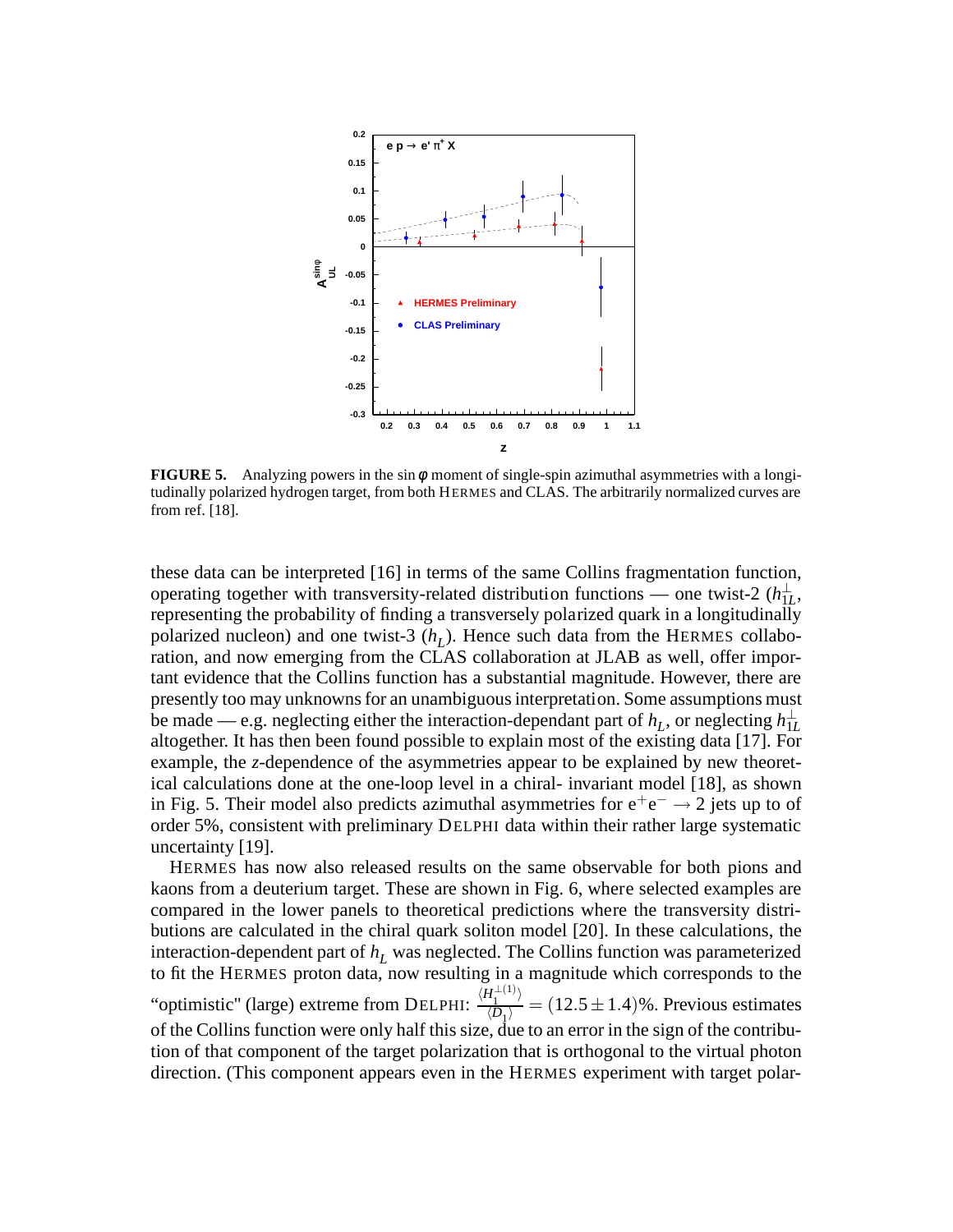

**FIGURE 5.** Analyzing powers in the sin  $\phi$  moment of single-spin azimuthal asymmetries with a longitudinally polarized hydrogen target, from both HERMES and CLAS. The arbitrarily normalized curves are from ref. [18].

these data can be interpreted [16] in terms of the same Collins fragmentation function, operating together with transversity-related distribution functions — one twist-2  $(h_{1L}^{\perp},$ representing the probability of finding a transversely polarized quark in a longitudinally polarized nucleon) and one twist-3  $(h<sub>L</sub>)$ . Hence such data from the HERMES collaboration, and now emerging from the CLAS collaboration at JLAB as well, offer important evidence that the Collins function has a substantial magnitude. However, there are presently too may unknowns for an unambiguous interpretation. Some assumptions must be made — e.g. neglecting either the interaction-dependant part of  $h_L$ , or neglecting  $h_{1L}^\perp$ altogether. It has then been found possible to explain most of the existing data [17]. For example, the *z*-dependence of the asymmetries appear to be explained by new theoretical calculations done at the one-loop level in a chiral- invariant model [18], as shown in Fig. 5. Their model also predicts azimuthal asymmetries for  $e^+e^- \rightarrow 2$  jets up to of order 5%, consistent with preliminary DELPHI data within their rather large systematic uncertainty [19].

HERMES has now also released results on the same observable for both pions and kaons from a deuterium target. These are shown in Fig. 6, where selected examples are compared in the lower panels to theoretical predictions where the transversity distributions are calculated in the chiral quark soliton model [20]. In these calculations, the interaction-dependent part of  $h<sub>L</sub>$  was neglected. The Collins function was parameterized to fit the HERMES proton data, now resulting in a magnitude which corresponds to the "optimistic" (large) extreme from DELPHI:  $\frac{\langle H_1^{\perp(1)} \rangle}{\langle D_1 \rangle}$  $\frac{P_1}{\langle D_1 \rangle}$  = (12.5 ± 1.4)%. Previous estimates of the Collins function were only half this size, due to an error in the sign of the contribution of that component of the target polarization that is orthogonal to the virtual photon direction. (This component appears even in the HERMES experiment with target polar-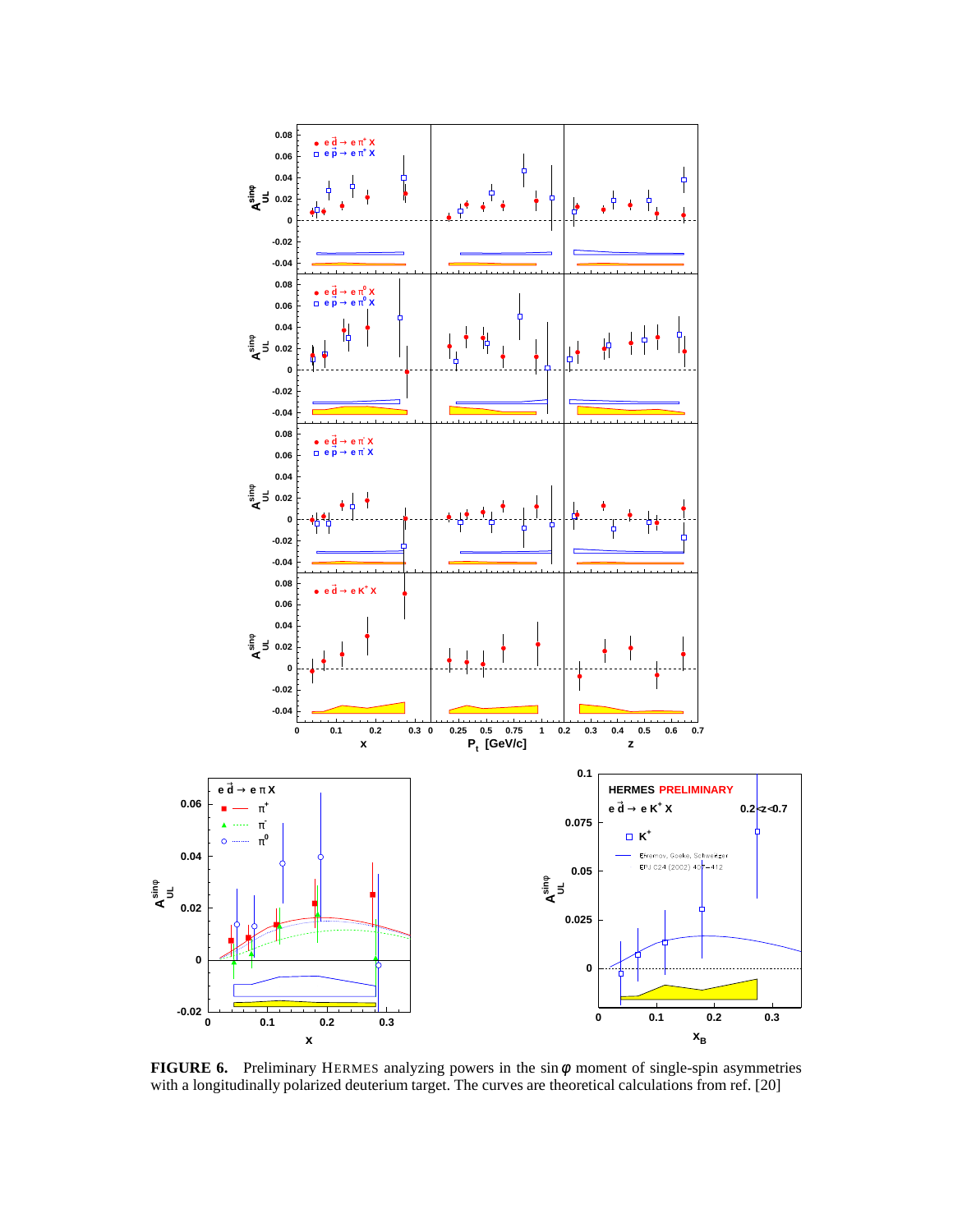

**FIGURE 6.** Preliminary HERMES analyzing powers in the sinφ moment of single-spin asymmetries with a longitudinally polarized deuterium target. The curves are theoretical calculations from ref. [20]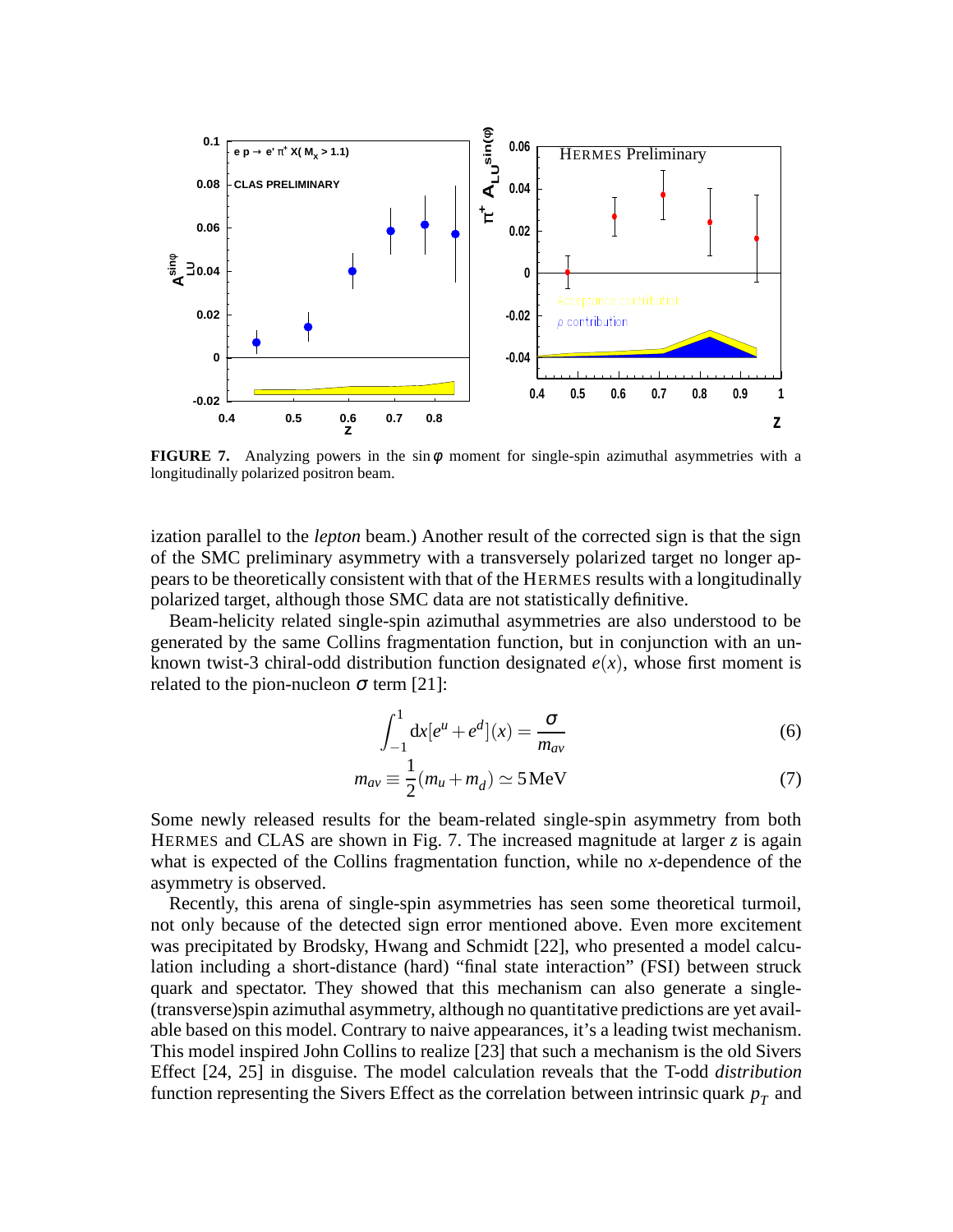

**FIGURE 7.** Analyzing powers in the  $\sin \phi$  moment for single-spin azimuthal asymmetries with a longitudinally polarized positron beam.

ization parallel to the *lepton* beam.) Another result of the corrected sign is that the sign of the SMC preliminary asymmetry with a transversely polarized target no longer appears to be theoretically consistent with that of the HERMES results with a longitudinally polarized target, although those SMC data are not statistically definitive.

Beam-helicity related single-spin azimuthal asymmetries are also understood to be generated by the same Collins fragmentation function, but in conjunction with an unknown twist-3 chiral-odd distribution function designated  $e(x)$ , whose first moment is related to the pion-nucleon  $\sigma$  term [21]:

$$
\int_{-1}^{1} dx [e^{u} + e^{d}] (x) = \frac{\sigma}{m_{av}}
$$
 (6)

$$
m_{av} \equiv \frac{1}{2}(m_u + m_d) \simeq 5 \,\text{MeV} \tag{7}
$$

Some newly released results for the beam-related single-spin asymmetry from both HERMES and CLAS are shown in Fig. 7. The increased magnitude at larger *z* is again what is expected of the Collins fragmentation function, while no *x*-dependence of the asymmetry is observed.

Recently, this arena of single-spin asymmetries has seen some theoretical turmoil, not only because of the detected sign error mentioned above. Even more excitement was precipitated by Brodsky, Hwang and Schmidt [22], who presented a model calculation including a short-distance (hard) "final state interaction" (FSI) between struck quark and spectator. They showed that this mechanism can also generate a single- (transverse)spin azimuthal asymmetry, although no quantitative predictions are yet available based on this model. Contrary to naive appearances, it's a leading twist mechanism. This model inspired John Collins to realize [23] that such a mechanism is the old Sivers Effect [24, 25] in disguise. The model calculation reveals that the T-odd *distribution* function representing the Sivers Effect as the correlation between intrinsic quark *p<sup>T</sup>* and